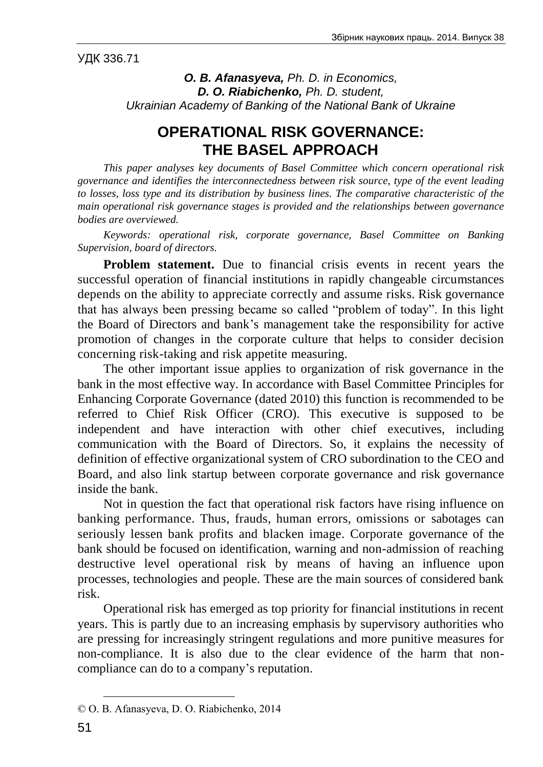*O. B. Afanasyeva, Ph. D. in Economics, D. O. Riabichenko, Ph. D. student, Ukrainian Academy of Banking of the National Bank of Ukraine*

# **OPERATIONAL RISK GOVERNANCE: THE BASEL APPROACH<sup>1</sup>**

*This paper analyses key documents of Basel Committee which concern operational risk governance and identifies the interconnectedness between risk source, type of the event leading to losses, loss type and its distribution by business lines. The comparative characteristic of the main operational risk governance stages is provided and the relationships between governance bodies are overviewed.*

*Keywords: operational risk, corporate governance, Basel Committee on Banking Supervision, board of directors.*

**Problem statement.** Due to financial crisis events in recent years the successful operation of financial institutions in rapidly changeable circumstances depends on the ability to appreciate correctly and assume risks. Risk governance that has always been pressing became so called "problem of today". In this light the Board of Directors and bank's management take the responsibility for active promotion of changes in the corporate culture that helps to consider decision concerning risk-taking and risk appetite measuring.

The other important issue applies to organization of risk governance in the bank in the most effective way. In accordance with Basel Committee Principles for Enhancing Corporate Governance (dated 2010) this function is recommended to be referred to Chief Risk Officer (CRO). This executive is supposed to be independent and have interaction with other chief executives, including communication with the Board of Directors. So, it explains the necessity of definition of effective organizational system of CRO subordination to the CEO and Board, and also link startup between corporate governance and risk governance inside the bank.

Not in question the fact that operational risk factors have rising influence on banking performance. Thus, frauds, human errors, omissions or sabotages can seriously lessen bank profits and blacken image. Corporate governance of the bank should be focused on identification, warning and non-admission of reaching destructive level operational risk by means of having an influence upon processes, technologies and people. These are the main sources of considered bank risk.

Operational risk has emerged as top priority for financial institutions in recent years. This is partly due to an increasing emphasis by supervisory authorities who are pressing for increasingly stringent regulations and more punitive measures for non-compliance. It is also due to the clear evidence of the harm that noncompliance can do to a company's reputation.

l

<sup>©</sup> O. B. Afanasyeva, D. O. Riabichenko, 2014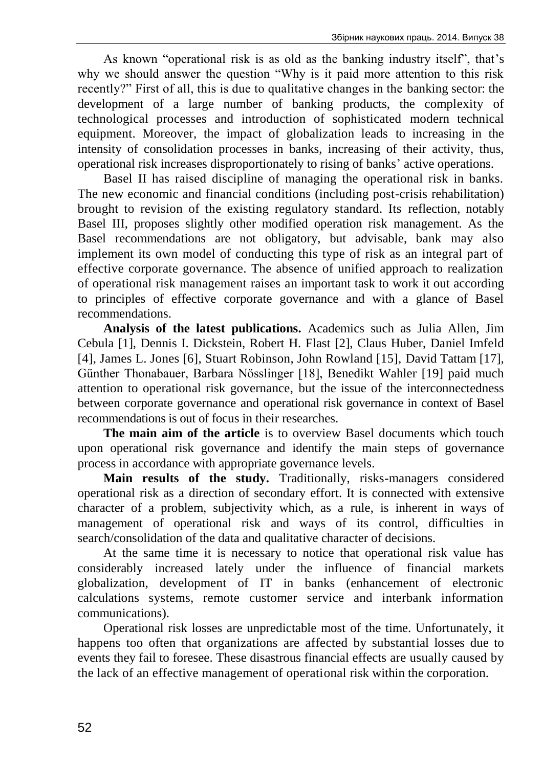As known "operational risk is as old as the banking industry itself", that's why we should answer the question "Why is it paid more attention to this risk recently?" First of all, this is due to qualitative changes in the banking sector: the development of a large number of banking products, the complexity of technological processes and introduction of sophisticated modern technical equipment. Moreover, the impact of globalization leads to increasing in the intensity of consolidation processes in banks, increasing of their activity, thus, operational risk increases disproportionately to rising of banks' active operations.

Basel II has raised discipline of managing the operational risk in banks. The new economic and financial conditions (including post-crisis rehabilitation) brought to revision of the existing regulatory standard. Its reflection, notably Basel III, proposes slightly other modified operation risk management. As the Basel recommendations are not obligatory, but advisable, bank may also implement its own model of conducting this type of risk as an integral part of effective corporate governance. The absence of unified approach to realization of operational risk management raises an important task to work it out according to principles of effective corporate governance and with a glance of Basel recommendations.

**Analysis of the latest publications.** Academics such as Julia Allen, Jim Cebula [1], Dennis I. Dickstein, Robert H. Flast [2], Claus Huber, Daniel Imfeld [4], James L. Jones [6], Stuart Robinson, John Rowland [15], David Tattam [17], Günther Thonabauer, Barbara Nösslinger [18], Benedikt Wahler [19] paid much attention to operational risk governance, but the issue of the interconnectedness between corporate governance and operational risk governance in context of Basel recommendations is out of focus in their researches.

**The main aim of the article** is to overview Basel documents which touch upon operational risk governance and identify the main steps of governance process in accordance with appropriate governance levels.

**Main results of the study.** Traditionally, risks-managers considered operational risk as a direction of secondary effort. It is connected with extensive character of a problem, subjectivity which, as a rule, is inherent in ways of management of operational risk and ways of its control, difficulties in search/consolidation of the data and qualitative character of decisions.

At the same time it is necessary to notice that operational risk value has considerably increased lately under the influence of financial markets globalization, development of IT in banks (enhancement of electronic calculations systems, remote customer service and interbank information communications).

Operational risk losses are unpredictable most of the time. Unfortunately, it happens too often that organizations are affected by substantial losses due to events they fail to foresee. These disastrous financial effects are usually caused by the lack of an effective management of operational risk within the corporation.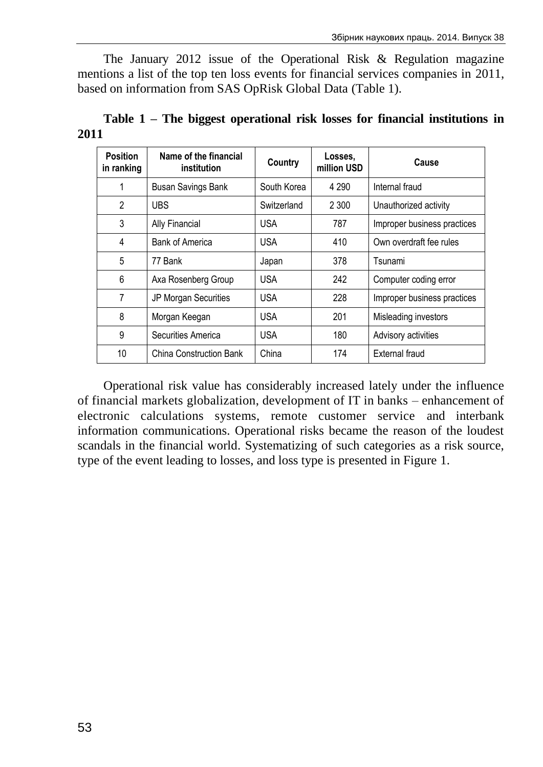The January 2012 issue of the Operational Risk & Regulation magazine mentions a list of the top ten loss events for financial services companies in 2011, based on information from SAS OpRisk Global Data (Table 1).

| <b>Position</b><br>in ranking  | Name of the financial<br>institution | Country     | Losses,<br>million USD | Cause                       |  |
|--------------------------------|--------------------------------------|-------------|------------------------|-----------------------------|--|
| 1<br><b>Busan Savings Bank</b> |                                      | South Korea | 4 290                  | Internal fraud              |  |
| 2                              | <b>UBS</b>                           | Switzerland | 2 3 0 0                | Unauthorized activity       |  |
| 3                              | <b>Ally Financial</b>                | USA         | 787                    | Improper business practices |  |
| 4                              | <b>Bank of America</b>               | USA         | 410                    | Own overdraft fee rules     |  |
| 5                              | 77 Bank                              | Japan       | 378                    | Tsunami                     |  |
| 6                              | Axa Rosenberg Group                  | USA         | 242                    | Computer coding error       |  |
| 7                              | <b>JP Morgan Securities</b>          | USA         | 228                    | Improper business practices |  |
| 8                              | Morgan Keegan                        | USA         | 201                    | Misleading investors        |  |
| 9                              | Securities America                   | <b>USA</b>  | 180                    | Advisory activities         |  |
| 10                             | China Construction Bank              | China       | 174                    | External fraud              |  |

|             |  |  | Table $1$ – The biggest operational risk losses for financial institutions in |  |  |  |
|-------------|--|--|-------------------------------------------------------------------------------|--|--|--|
| <b>2011</b> |  |  |                                                                               |  |  |  |

Operational risk value has considerably increased lately under the influence of financial markets globalization, development of IT in banks – enhancement of electronic calculations systems, remote customer service and interbank information communications. Operational risks became the reason of the loudest scandals in the financial world. Systematizing of such categories as a risk source, type of the event leading to losses, and loss type is presented in Figure 1.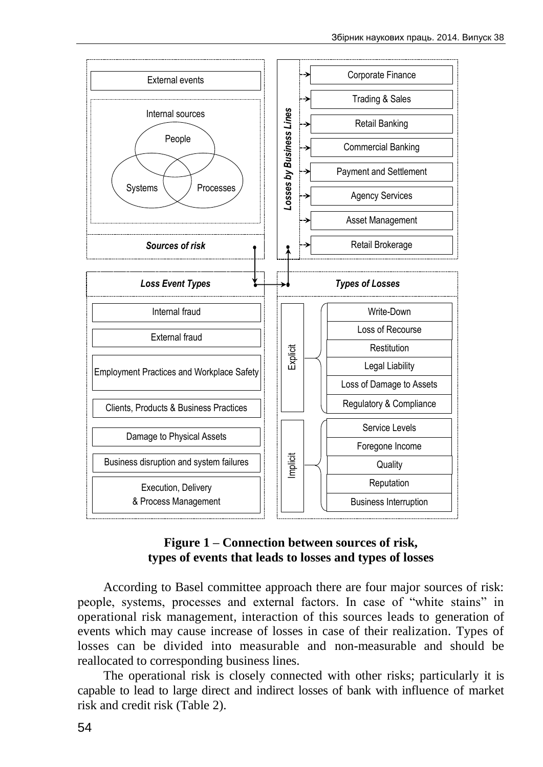

## **Figure 1 – Connection between sources of risk, types of events that leads to losses and types of losses**

According to Basel committee approach there are four major sources of risk: people, systems, processes and external factors. In case of "white stains" in operational risk management, interaction of this sources leads to generation of events which may cause increase of losses in case of their realization. Types of losses can be divided into measurable and non-measurable and should be reallocated to corresponding business lines.

The operational risk is closely connected with other risks; particularly it is capable to lead to large direct and indirect losses of bank with influence of market risk and credit risk (Table 2).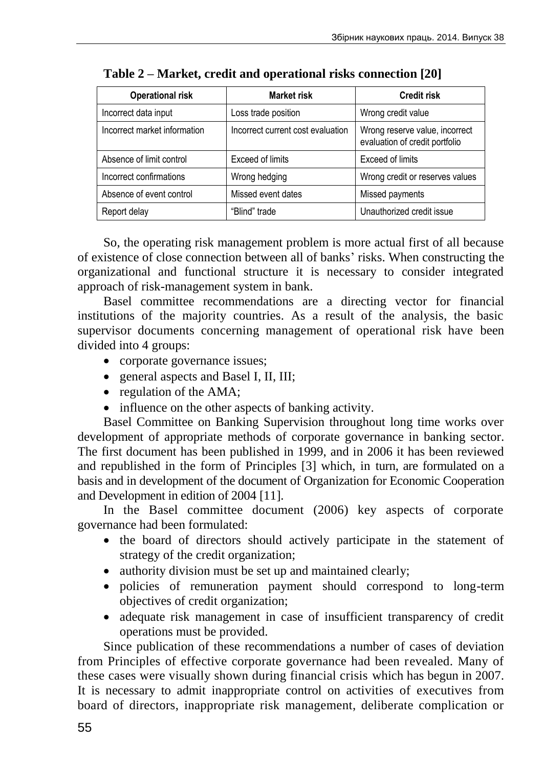| <b>Operational risk</b>      | <b>Market risk</b>                | <b>Credit risk</b>                                               |
|------------------------------|-----------------------------------|------------------------------------------------------------------|
| Incorrect data input         | Loss trade position               | Wrong credit value                                               |
| Incorrect market information | Incorrect current cost evaluation | Wrong reserve value, incorrect<br>evaluation of credit portfolio |
| Absence of limit control     | <b>Exceed of limits</b>           | <b>Exceed of limits</b>                                          |
| Incorrect confirmations      | Wrong hedging                     | Wrong credit or reserves values                                  |
| Absence of event control     | Missed event dates                | Missed payments                                                  |
| Report delay                 | "Blind" trade                     | Unauthorized credit issue                                        |

**Table 2 – Market, credit and operational risks connection [20]**

So, the operating risk management problem is more actual first of all because of existence of close connection between all of banks' risks. When constructing the organizational and functional structure it is necessary to consider integrated approach of risk-management system in bank.

Basel committee recommendations are a directing vector for financial institutions of the majority countries. As a result of the analysis, the basic supervisor documents concerning management of operational risk have been divided into 4 groups:

- corporate governance issues;
- general aspects and Basel I, II, III;
- regulation of the AMA;
- influence on the other aspects of banking activity.

Basel Committee on Banking Supervision throughout long time works over development of appropriate methods of corporate governance in banking sector. The first document has been published in 1999, and in 2006 it has been reviewed and republished in the form of Principles [3] which, in turn, are formulated on a basis and in development of the document of Organization for Economic Cooperation and Development in edition of 2004 [11].

In the Basel committee document (2006) key aspects of corporate governance had been formulated:

- the board of directors should actively participate in the statement of strategy of the credit organization;
- authority division must be set up and maintained clearly;
- policies of remuneration payment should correspond to long-term objectives of credit organization;
- adequate risk management in case of insufficient transparency of credit operations must be provided.

Since publication of these recommendations a number of cases of deviation from Principles of effective corporate governance had been revealed. Many of these cases were visually shown during financial crisis which has begun in 2007. It is necessary to admit inappropriate control on activities of executives from board of directors, inappropriate risk management, deliberate complication or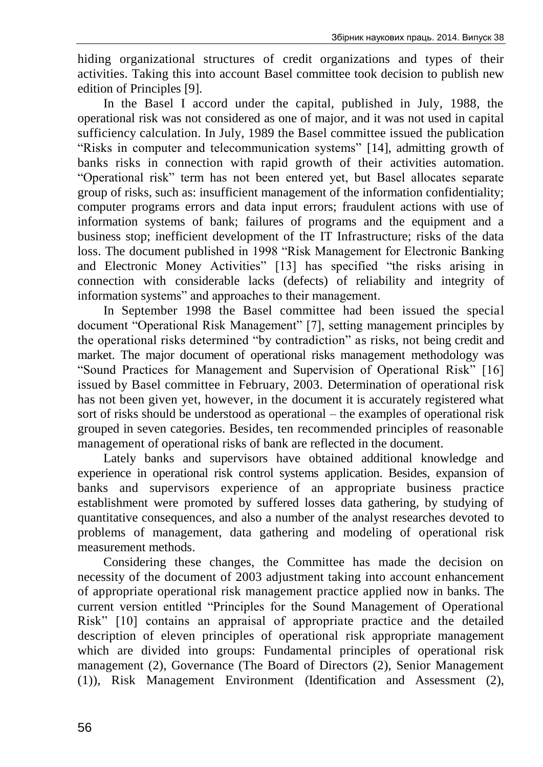hiding organizational structures of credit organizations and types of their activities. Taking this into account Basel committee took decision to publish new edition of Principles [9].

In the Basel I accord under the capital, published in July, 1988, the operational risk was not considered as one of major, and it was not used in capital sufficiency calculation. In July, 1989 the Basel committee issued the publication "Risks in computer and telecommunication systems" [14], admitting growth of banks risks in connection with rapid growth of their activities automation. "Operational risk" term has not been entered yet, but Basel allocates separate group of risks, such as: insufficient management of the information confidentiality; computer programs errors and data input errors; fraudulent actions with use of information systems of bank; failures of programs and the equipment and a business stop; inefficient development of the IT Infrastructure; risks of the data loss. The document published in 1998 "Risk Management for Electronic Banking and Electronic Money Activities" [13] has specified "the risks arising in connection with considerable lacks (defects) of reliability and integrity of information systems" and approaches to their management.

In September 1998 the Basel committee had been issued the special document "Operational Risk Management" [7], setting management principles by the operational risks determined "by contradiction" as risks, not being credit and market. The major document of operational risks management methodology was "Sound Practices for Management and Supervision of Operational Risk" [16] issued by Basel committee in February, 2003. Determination of operational risk has not been given yet, however, in the document it is accurately registered what sort of risks should be understood as operational – the examples of operational risk grouped in seven categories. Besides, ten recommended principles of reasonable management of operational risks of bank are reflected in the document.

Lately banks and supervisors have obtained additional knowledge and experience in operational risk control systems application. Besides, expansion of banks and supervisors experience of an appropriate business practice establishment were promoted by suffered losses data gathering, by studying of quantitative consequences, and also a number of the analyst researches devoted to problems of management, data gathering and modeling of operational risk measurement methods.

Considering these changes, the Committee has made the decision on necessity of the document of 2003 adjustment taking into account enhancement of appropriate operational risk management practice applied now in banks. The current version entitled "Principles for the Sound Management of Operational Risk" [10] contains an appraisal of appropriate practice and the detailed description of eleven principles of operational risk appropriate management which are divided into groups: Fundamental principles of operational risk management (2), Governance (The Board of Directors (2), Senior Management (1)), Risk Management Environment (Identification and Assessment (2),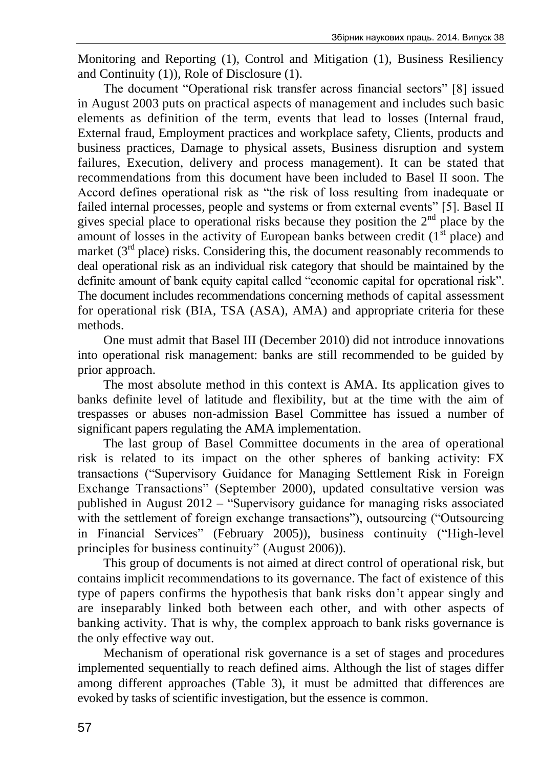Monitoring and Reporting (1), Control and Mitigation (1), Business Resiliency and Continuity (1)), Role of Disclosure (1).

The document "Operational risk transfer across financial sectors" [8] issued in August 2003 puts on practical aspects of management and includes such basic elements as definition of the term, events that lead to losses (Internal fraud, External fraud, Employment practices and workplace safety, Clients, products and business practices, Damage to physical assets, Business disruption and system failures, Execution, delivery and process management). It can be stated that recommendations from this document have been included to Basel II soon. The Accord defines operational risk as "the risk of loss resulting from inadequate or failed internal processes, people and systems or from external events" [5]. Basel II gives special place to operational risks because they position the  $2<sup>nd</sup>$  place by the amount of losses in the activity of European banks between credit  $(1<sup>st</sup>$  place) and market  $(3<sup>rd</sup>$  place) risks. Considering this, the document reasonably recommends to deal operational risk as an individual risk category that should be maintained by the definite amount of bank equity capital called "economic capital for operational risk". The document includes recommendations concerning methods of capital assessment for operational risk (BIA, TSA (ASA), AMA) and appropriate criteria for these methods.

One must admit that Basel III (December 2010) did not introduce innovations into operational risk management: banks are still recommended to be guided by prior approach.

The most absolute method in this context is AMA. Its application gives to banks definite level of latitude and flexibility, but at the time with the aim of trespasses or abuses non-admission Basel Committee has issued a number of significant papers regulating the AMA implementation.

The last group of Basel Committee documents in the area of operational risk is related to its impact on the other spheres of banking activity: FX transactions ("Supervisory Guidance for Managing Settlement Risk in Foreign Exchange Transactions" (September 2000), updated consultative version was published in August 2012 – "Supervisory guidance for managing risks associated with the settlement of foreign exchange transactions"), outsourcing ("Outsourcing in Financial Services" (February 2005)), business continuity ("High-level principles for business continuity" (August 2006)).

This group of documents is not aimed at direct control of operational risk, but contains implicit recommendations to its governance. The fact of existence of this type of papers confirms the hypothesis that bank risks don't appear singly and are inseparably linked both between each other, and with other aspects of banking activity. That is why, the complex approach to bank risks governance is the only effective way out.

Mechanism of operational risk governance is a set of stages and procedures implemented sequentially to reach defined aims. Although the list of stages differ among different approaches (Table 3), it must be admitted that differences are evoked by tasks of scientific investigation, but the essence is common.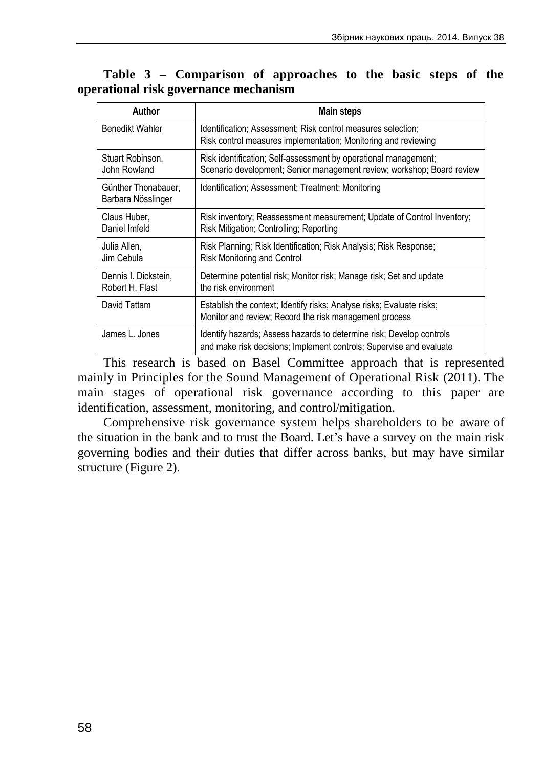| Author                                    | <b>Main steps</b>                                                                                                                           |  |  |  |
|-------------------------------------------|---------------------------------------------------------------------------------------------------------------------------------------------|--|--|--|
| <b>Benedikt Wahler</b>                    | Identification; Assessment; Risk control measures selection;<br>Risk control measures implementation; Monitoring and reviewing              |  |  |  |
| Stuart Robinson,<br>John Rowland          | Risk identification; Self-assessment by operational management;<br>Scenario development; Senior management review; workshop; Board review   |  |  |  |
| Günther Thonabauer,<br>Barbara Nösslinger | Identification; Assessment; Treatment; Monitoring                                                                                           |  |  |  |
| Claus Huber,<br>Daniel Imfeld             | Risk inventory; Reassessment measurement; Update of Control Inventory;<br>Risk Mitigation; Controlling; Reporting                           |  |  |  |
| Julia Allen,<br>Jim Cebula                | Risk Planning; Risk Identification; Risk Analysis; Risk Response;<br><b>Risk Monitoring and Control</b>                                     |  |  |  |
| Dennis I. Dickstein,<br>Robert H. Flast   | Determine potential risk; Monitor risk; Manage risk; Set and update<br>the risk environment                                                 |  |  |  |
| David Tattam                              | Establish the context; Identify risks; Analyse risks; Evaluate risks;<br>Monitor and review; Record the risk management process             |  |  |  |
| James L. Jones                            | Identify hazards; Assess hazards to determine risk; Develop controls<br>and make risk decisions; Implement controls; Supervise and evaluate |  |  |  |

## **Table 3 – Comparison of approaches to the basic steps of the operational risk governance mechanism**

This research is based on Basel Committee approach that is represented mainly in Principles for the Sound Management of Operational Risk (2011). The main stages of operational risk governance according to this paper are identification, assessment, monitoring, and control/mitigation.

Comprehensive risk governance system helps shareholders to be aware of the situation in the bank and to trust the Board. Let's have a survey on the main risk governing bodies and their duties that differ across banks, but may have similar structure (Figure 2).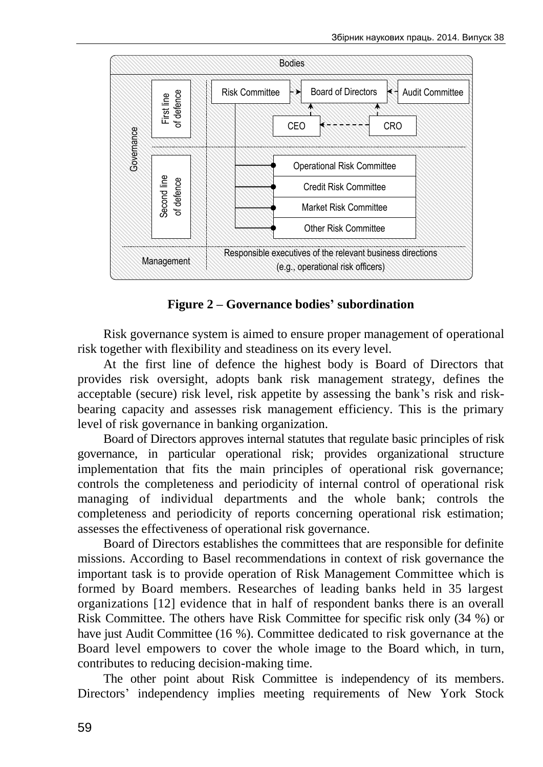

**Figure 2 – Governance bodies' subordination**

Risk governance system is aimed to ensure proper management of operational risk together with flexibility and steadiness on its every level.

At the first line of defence the highest body is Board of Directors that provides risk oversight, adopts bank risk management strategy, defines the acceptable (secure) risk level, risk appetite by assessing the bank's risk and riskbearing capacity and assesses risk management efficiency. This is the primary level of risk governance in banking organization.

Board of Directors approves internal statutes that regulate basic principles of risk governance, in particular operational risk; provides organizational structure implementation that fits the main principles of operational risk governance; controls the completeness and periodicity of internal control of operational risk managing of individual departments and the whole bank; controls the completeness and periodicity of reports concerning operational risk estimation; assesses the effectiveness of operational risk governance.

Board of Directors establishes the committees that are responsible for definite missions. According to Basel recommendations in context of risk governance the important task is to provide operation of Risk Management Committee which is formed by Board members. Researches of leading banks held in 35 largest organizations [12] evidence that in half of respondent banks there is an overall Risk Committee. The others have Risk Committee for specific risk only (34 %) or have just Audit Committee (16 %). Committee dedicated to risk governance at the Board level empowers to cover the whole image to the Board which, in turn, contributes to reducing decision-making time.

The other point about Risk Committee is independency of its members. Directors' independency implies meeting requirements of New York Stock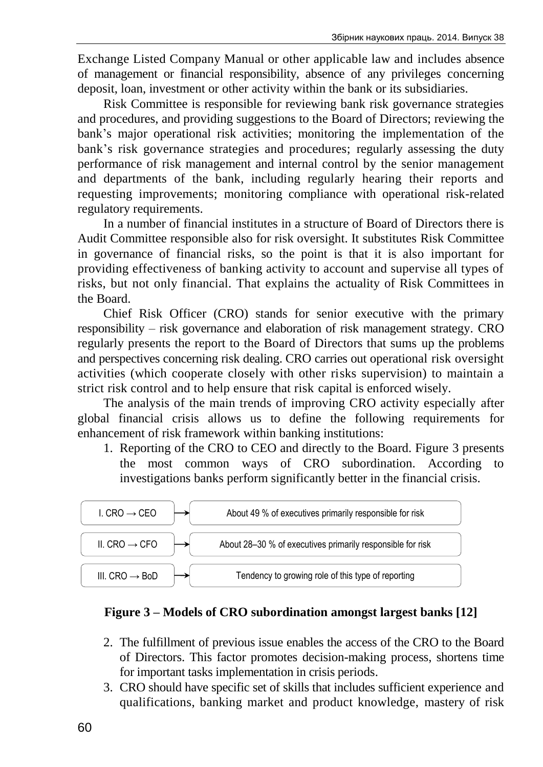Exchange Listed Company Manual or other applicable law and includes absence of management or financial responsibility, absence of any privileges concerning deposit, loan, investment or other activity within the bank or its subsidiaries.

Risk Committee is responsible for reviewing bank risk governance strategies and procedures, and providing suggestions to the Board of Directors; reviewing the bank's major operational risk activities; monitoring the implementation of the bank's risk governance strategies and procedures; regularly assessing the duty performance of risk management and internal control by the senior management and departments of the bank, including regularly hearing their reports and requesting improvements; monitoring compliance with operational risk-related regulatory requirements.

In a number of financial institutes in a structure of Board of Directors there is Audit Committee responsible also for risk oversight. It substitutes Risk Committee in governance of financial risks, so the point is that it is also important for providing effectiveness of banking activity to account and supervise all types of risks, but not only financial. That explains the actuality of Risk Committees in the Board.

Chief Risk Officer (CRO) stands for senior executive with the primary responsibility – risk governance and elaboration of risk management strategy. CRO regularly presents the report to the Board of Directors that sums up the problems and perspectives concerning risk dealing. CRO carries out operational risk oversight activities (which cooperate closely with other risks supervision) to maintain a strict risk control and to help ensure that risk capital is enforced wisely.

The analysis of the main trends of improving CRO activity especially after global financial crisis allows us to define the following requirements for enhancement of risk framework within banking institutions:

1. Reporting of the CRO to CEO and directly to the Board. Figure 3 presents the most common ways of CRO subordination. According to investigations banks perform significantly better in the financial crisis.



# **Figure 3 – Models of CRO subordination amongst largest banks [12]**

- 2. The fulfillment of previous issue enables the access of the CRO to the Board of Directors. This factor promotes decision-making process, shortens time for important tasks implementation in crisis periods.
- 3. CRO should have specific set of skills that includes sufficient experience and qualifications, banking market and product knowledge, mastery of risk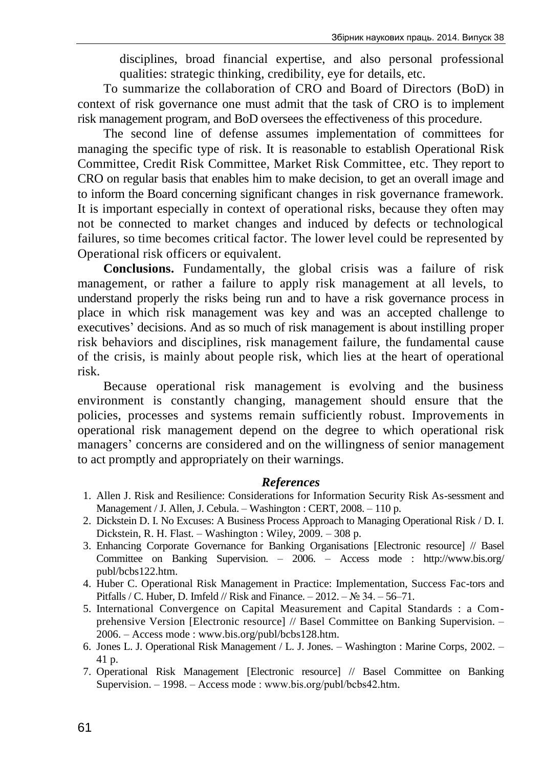disciplines, broad financial expertise, and also personal professional qualities: strategic thinking, credibility, eye for details, etc.

To summarize the collaboration of CRO and Board of Directors (BoD) in context of risk governance one must admit that the task of CRO is to implement risk management program, and BoD oversees the effectiveness of this procedure.

The second line of defense assumes implementation of committees for managing the specific type of risk. It is reasonable to establish Operational Risk Committee, Credit Risk Committee, Market Risk Committee, etc. They report to CRO on regular basis that enables him to make decision, to get an overall image and to inform the Board concerning significant changes in risk governance framework. It is important especially in context of operational risks, because they often may not be connected to market changes and induced by defects or technological failures, so time becomes critical factor. The lower level could be represented by Operational risk officers or equivalent.

**Conclusions.** Fundamentally, the global crisis was a failure of risk management, or rather a failure to apply risk management at all levels, to understand properly the risks being run and to have a risk governance process in place in which risk management was key and was an accepted challenge to executives' decisions. And as so much of risk management is about instilling proper risk behaviors and disciplines, risk management failure, the fundamental cause of the crisis, is mainly about people risk, which lies at the heart of operational risk.

Because operational risk management is evolving and the business environment is constantly changing, management should ensure that the policies, processes and systems remain sufficiently robust. Improvements in operational risk management depend on the degree to which operational risk managers' concerns are considered and on the willingness of senior management to act promptly and appropriately on their warnings.

### *References*

- 1. Allen J. Risk and Resilience: Considerations for Information Security Risk As-sessment and Management / J. Allen, J. Cebula. – Washington : CERT, 2008. – 110 p.
- 2. Dickstein D. I. No Excuses: A Business Process Approach to Managing Operational Risk / D. I. Dickstein, R. H. Flast. – Washington : Wiley, 2009. – 308 p.
- 3. Enhancing Corporate Governance for Banking Organisations [Electronic resource] // Basel Committee on Banking Supervision. – 2006. – Access mode : http://www.bis.org/ publ/bcbs122.htm.
- 4. Huber C. Operational Risk Management in Practice: Implementation, Success Fac-tors and Pitfalls / C. Huber, D. Imfeld // Risk and Finance.  $-2012$ .  $-$  No 34.  $-56-71$ .
- 5. International Convergence on Capital Measurement and Capital Standards : a Comprehensive Version [Electronic resource] // Basel Committee on Banking Supervision. – 2006. – Access mode : www.bis.org/publ/bcbs128.htm.
- 6. Jones L. J. Operational Risk Management / L. J. Jones. Washington : Marine Corps, 2002. 41 p.
- 7. Operational Risk Management [Electronic resource] // Basel Committee on Banking Supervision.  $-1998. -$  Access mode : www.bis.org/publ/bcbs42.htm.